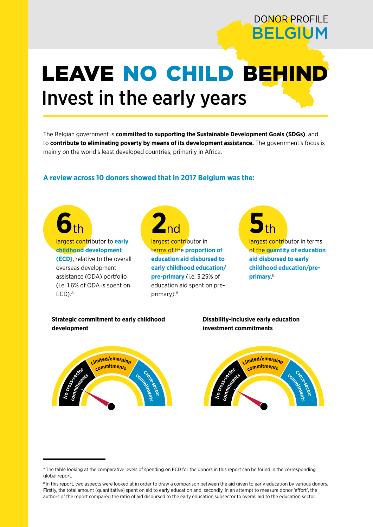# DONOR PROFILE BELGIUM

# LEAVE NO CHILD BEHIND Invest in the early years

The Belgian government is **committed to supporting the Sustainable Development Goals (SDGs)**, and to **contribute to eliminating poverty by means of its development assistance.** The government's focus is mainly on the world's least developed countries, primarily in Africa.

## **A review across 10 donors showed that in 2017 Belgium was the:**

**6**th largest contributor to **early childhood development (ECD)**, relative to the overall overseas development assistance (ODA) portfolio (i.e. 1.6% of ODA is spent on  $ECD$ ). $A$ 



largest contributor in terms of the **proportion of education aid disbursed to early childhood education/ pre-primary** (i.e. 3.25% of education aid spent on preprimary).<sup>B</sup>

**5**th

largest contributor in terms of the **quantity of education aid disbursed to early childhood education/preprimary**. B

**Strategic commitment to early childhood development**

#### **Disability-inclusive early education investment commitments**



A The table looking at the comparative levels of spending on ECD for the donors in this report can be found in the corresponding global report.

B In this report, two aspects were looked at in order to draw a comparison between the aid given to early education by various donors. Firstly, the total amount (quantitative) spent on aid to early education and, secondly, in an attempt to measure donor 'effort', the authors of the report compared the ratio of aid disbursed to the early education subsector to overall aid to the education sector.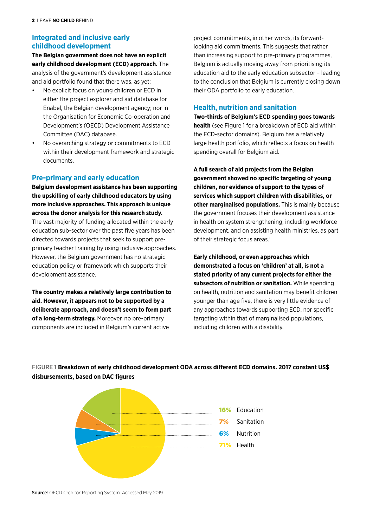### **Integrated and inclusive early childhood development**

**The Belgian government does not have an explicit early childhood development (ECD) approach.** The analysis of the government's development assistance and aid portfolio found that there was, as yet:

- No explicit focus on young children or ECD in either the project explorer and aid database for Enabel, the Belgian development agency; nor in the Organisation for Economic Co-operation and Development's (OECD) Development Assistance Committee (DAC) database.
- No overarching strategy or commitments to ECD within their development framework and strategic documents.

### **Pre-primary and early education**

**Belgium development assistance has been supporting the upskilling of early childhood educators by using more inclusive approaches. This approach is unique across the donor analysis for this research study.** The vast majority of funding allocated within the early education sub-sector over the past five years has been directed towards projects that seek to support preprimary teacher training by using inclusive approaches. However, the Belgium government has no strategic education policy or framework which supports their development assistance.

**The country makes a relatively large contribution to aid. However, it appears not to be supported by a deliberate approach, and doesn't seem to form part of a long-term strategy.** Moreover, no pre-primary components are included in Belgium's current active

project commitments, in other words, its forwardlooking aid commitments. This suggests that rather than increasing support to pre-primary programmes, Belgium is actually moving away from prioritising its education aid to the early education subsector – leading to the conclusion that Belgium is currently closing down their ODA portfolio to early education.

#### **Health, nutrition and sanitation**

**Two-thirds of Belgium's ECD spending goes towards health** (see Figure 1 for a breakdown of ECD aid within the ECD-sector domains). Belgium has a relatively large health portfolio, which reflects a focus on health spending overall for Belgium aid.

**A full search of aid projects from the Belgian government showed no specific targeting of young children, nor evidence of support to the types of services which support children with disabilities, or other marginalised populations.** This is mainly because the government focuses their development assistance in health on system strengthening, including workforce development, and on assisting health ministries, as part of their strategic focus areas.<sup>1</sup>

**Early childhood, or even approaches which demonstrated a focus on 'children' at all, is not a stated priority of any current projects for either the subsectors of nutrition or sanitation.** While spending on health, nutrition and sanitation may benefit children younger than age five, there is very little evidence of any approaches towards supporting ECD, nor specific targeting within that of marginalised populations, including children with a disability.



FIGURE 1 **Breakdown of early childhood development ODA across different ECD domains. 2017 constant US\$ disbursements, based on DAC figures**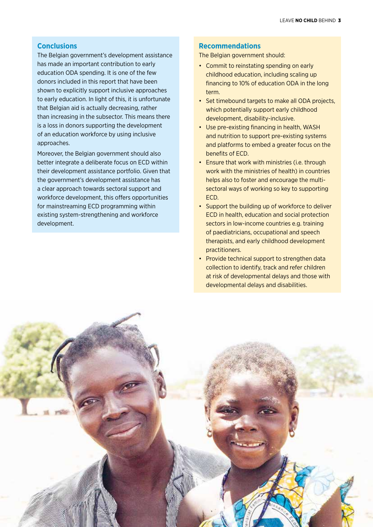#### **Conclusions**

The Belgian government's development assistance has made an important contribution to early education ODA spending. It is one of the few donors included in this report that have been shown to explicitly support inclusive approaches to early education. In light of this, it is unfortunate that Belgian aid is actually decreasing, rather than increasing in the subsector. This means there is a loss in donors supporting the development of an education workforce by using inclusive approaches.

Moreover, the Belgian government should also better integrate a deliberate focus on ECD within their development assistance portfolio. Given that the government's development assistance has a clear approach towards sectoral support and workforce development, this offers opportunities for mainstreaming ECD programming within existing system-strengthening and workforce development.

#### **Recommendations**

The Belgian government should:

- Commit to reinstating spending on early childhood education, including scaling up financing to 10% of education ODA in the long term.
- Set timebound targets to make all ODA projects, which potentially support early childhood development, disability-inclusive.
- Use pre-existing financing in health, WASH and nutrition to support pre-existing systems and platforms to embed a greater focus on the benefits of ECD.
- Ensure that work with ministries (i.e. through work with the ministries of health) in countries helps also to foster and encourage the multisectoral ways of working so key to supporting ECD.
- Support the building up of workforce to deliver ECD in health, education and social protection sectors in low-income countries e.g. training of paediatricians, occupational and speech therapists, and early childhood development practitioners.
- Provide technical support to strengthen data collection to identify, track and refer children at risk of developmental delays and those with developmental delays and disabilities.